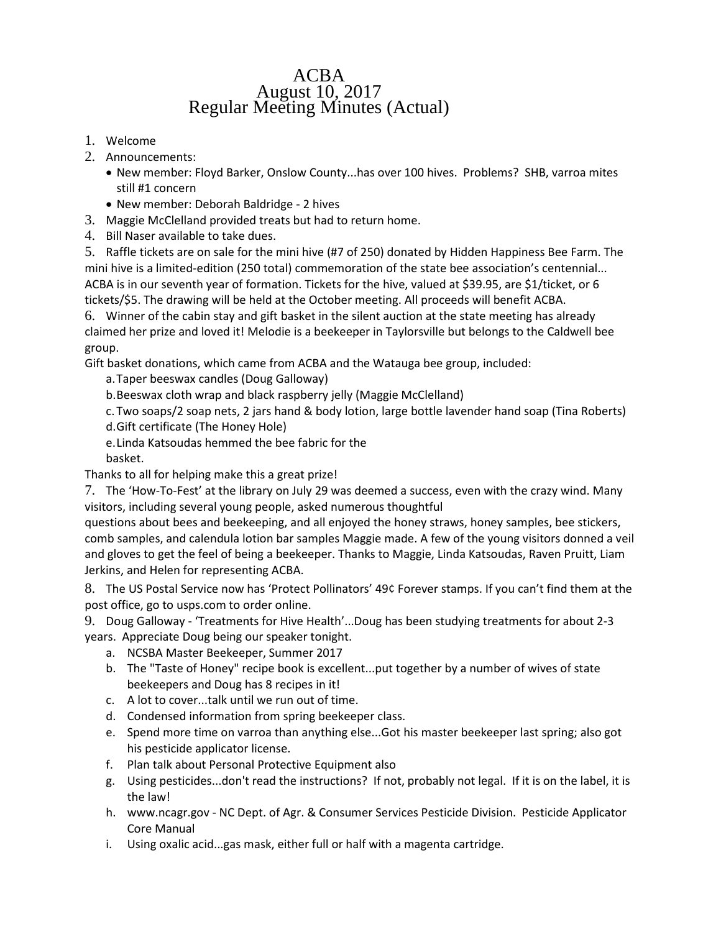## ACBA August 10, 2017 Regular Meeting Minutes (Actual)

- 1. Welcome
- 2. Announcements:
	- New member: Floyd Barker, Onslow County...has over 100 hives. Problems? SHB, varroa mites still #1 concern
	- New member: Deborah Baldridge 2 hives
- 3. Maggie McClelland provided treats but had to return home.
- 4. Bill Naser available to take dues.

5. Raffle tickets are on sale for the mini hive (#7 of 250) donated by Hidden Happiness Bee Farm. The mini hive is a limited-edition (250 total) commemoration of the state bee association's centennial... ACBA is in our seventh year of formation. Tickets for the hive, valued at \$39.95, are \$1/ticket, or 6 tickets/\$5. The drawing will be held at the October meeting. All proceeds will benefit ACBA.

6. Winner of the cabin stay and gift basket in the silent auction at the state meeting has already claimed her prize and loved it! Melodie is a beekeeper in Taylorsville but belongs to the Caldwell bee group.

Gift basket donations, which came from ACBA and the Watauga bee group, included:

a.Taper beeswax candles (Doug Galloway)

b.Beeswax cloth wrap and black raspberry jelly (Maggie McClelland)

c. Two soaps/2 soap nets, 2 jars hand & body lotion, large bottle lavender hand soap (Tina Roberts) d.Gift certificate (The Honey Hole)

e.Linda Katsoudas hemmed the bee fabric for the

basket.

Thanks to all for helping make this a great prize!

7. The 'How-To-Fest' at the library on July 29 was deemed a success, even with the crazy wind. Many visitors, including several young people, asked numerous thoughtful

questions about bees and beekeeping, and all enjoyed the honey straws, honey samples, bee stickers, comb samples, and calendula lotion bar samples Maggie made. A few of the young visitors donned a veil and gloves to get the feel of being a beekeeper. Thanks to Maggie, Linda Katsoudas, Raven Pruitt, Liam Jerkins, and Helen for representing ACBA.

8. The US Postal Service now has 'Protect Pollinators' 49¢ Forever stamps. If you can't find them at the post office, go to usps.com to order online.

9. Doug Galloway - 'Treatments for Hive Health'...Doug has been studying treatments for about 2-3 years. Appreciate Doug being our speaker tonight.

- a. NCSBA Master Beekeeper, Summer 2017
- b. The "Taste of Honey" recipe book is excellent...put together by a number of wives of state beekeepers and Doug has 8 recipes in it!
- c. A lot to cover...talk until we run out of time.
- d. Condensed information from spring beekeeper class.
- e. Spend more time on varroa than anything else...Got his master beekeeper last spring; also got his pesticide applicator license.
- f. Plan talk about Personal Protective Equipment also
- g. Using pesticides...don't read the instructions? If not, probably not legal. If it is on the label, it is the law!
- h. [www.ncagr.gov](http://www.ncagr.gov/) NC Dept. of Agr. & Consumer Services Pesticide Division. Pesticide Applicator Core Manual
- i. Using oxalic acid...gas mask, either full or half with a magenta cartridge.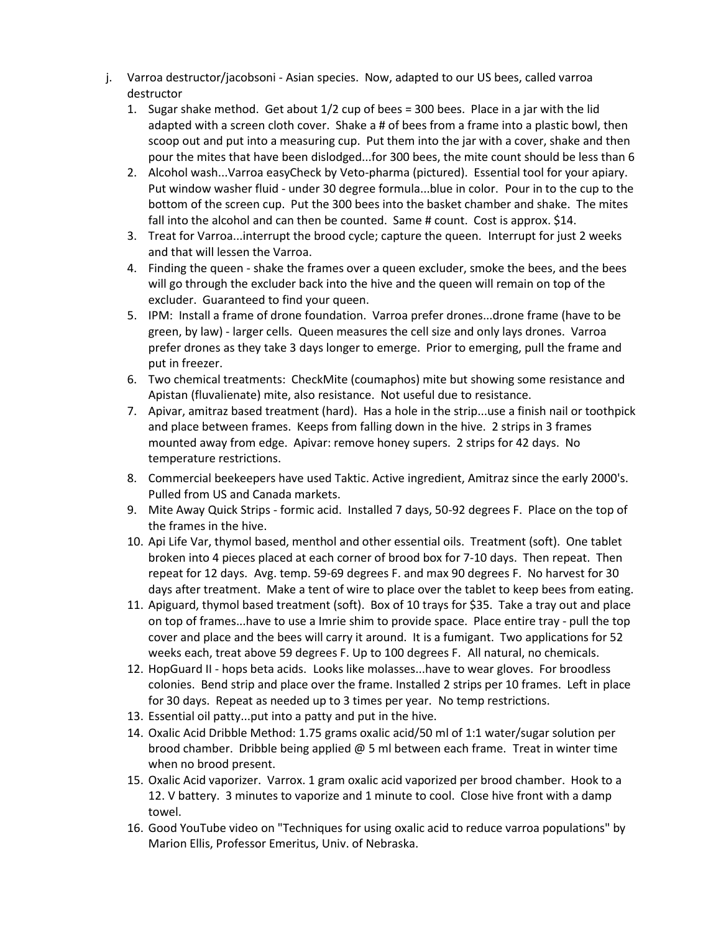- j. Varroa destructor/jacobsoni Asian species. Now, adapted to our US bees, called varroa destructor
	- 1. Sugar shake method. Get about 1/2 cup of bees = 300 bees. Place in a jar with the lid adapted with a screen cloth cover. Shake a # of bees from a frame into a plastic bowl, then scoop out and put into a measuring cup. Put them into the jar with a cover, shake and then pour the mites that have been dislodged...for 300 bees, the mite count should be less than 6
	- 2. Alcohol wash...Varroa easyCheck by Veto-pharma (pictured). Essential tool for your apiary. Put window washer fluid - under 30 degree formula...blue in color. Pour in to the cup to the bottom of the screen cup. Put the 300 bees into the basket chamber and shake. The mites fall into the alcohol and can then be counted. Same # count. Cost is approx. \$14.
	- 3. Treat for Varroa...interrupt the brood cycle; capture the queen. Interrupt for just 2 weeks and that will lessen the Varroa.
	- 4. Finding the queen shake the frames over a queen excluder, smoke the bees, and the bees will go through the excluder back into the hive and the queen will remain on top of the excluder. Guaranteed to find your queen.
	- 5. IPM: Install a frame of drone foundation. Varroa prefer drones...drone frame (have to be green, by law) - larger cells. Queen measures the cell size and only lays drones. Varroa prefer drones as they take 3 days longer to emerge. Prior to emerging, pull the frame and put in freezer.
	- 6. Two chemical treatments: CheckMite (coumaphos) mite but showing some resistance and Apistan (fluvalienate) mite, also resistance. Not useful due to resistance.
	- 7. Apivar, amitraz based treatment (hard). Has a hole in the strip...use a finish nail or toothpick and place between frames. Keeps from falling down in the hive. 2 strips in 3 frames mounted away from edge. Apivar: remove honey supers. 2 strips for 42 days. No temperature restrictions.
	- 8. Commercial beekeepers have used Taktic. Active ingredient, Amitraz since the early 2000's. Pulled from US and Canada markets.
	- 9. Mite Away Quick Strips formic acid. Installed 7 days, 50-92 degrees F. Place on the top of the frames in the hive.
	- 10. Api Life Var, thymol based, menthol and other essential oils. Treatment (soft). One tablet broken into 4 pieces placed at each corner of brood box for 7-10 days. Then repeat. Then repeat for 12 days. Avg. temp. 59-69 degrees F. and max 90 degrees F. No harvest for 30 days after treatment. Make a tent of wire to place over the tablet to keep bees from eating.
	- 11. Apiguard, thymol based treatment (soft). Box of 10 trays for \$35. Take a tray out and place on top of frames...have to use a Imrie shim to provide space. Place entire tray - pull the top cover and place and the bees will carry it around. It is a fumigant. Two applications for 52 weeks each, treat above 59 degrees F. Up to 100 degrees F. All natural, no chemicals.
	- 12. HopGuard II hops beta acids. Looks like molasses...have to wear gloves. For broodless colonies. Bend strip and place over the frame. Installed 2 strips per 10 frames. Left in place for 30 days. Repeat as needed up to 3 times per year. No temp restrictions.
	- 13. Essential oil patty...put into a patty and put in the hive.
	- 14. Oxalic Acid Dribble Method: 1.75 grams oxalic acid/50 ml of 1:1 water/sugar solution per brood chamber. Dribble being applied @ 5 ml between each frame. Treat in winter time when no brood present.
	- 15. Oxalic Acid vaporizer. Varrox. 1 gram oxalic acid vaporized per brood chamber. Hook to a 12. V battery. 3 minutes to vaporize and 1 minute to cool. Close hive front with a damp towel.
	- 16. Good YouTube video on "Techniques for using oxalic acid to reduce varroa populations" by Marion Ellis, Professor Emeritus, Univ. of Nebraska.